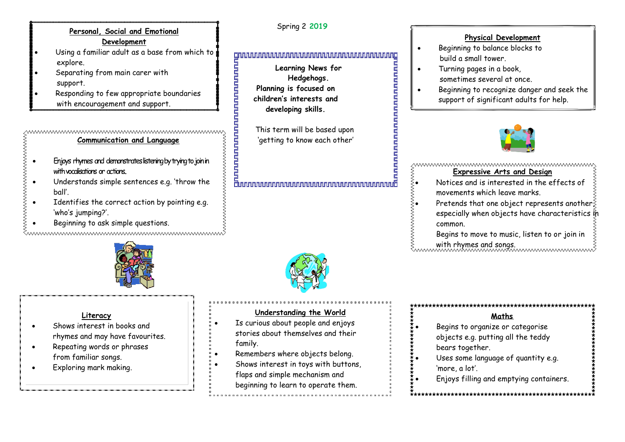# **Personal, Social and Emotional Development**

- Using a familiar adult as a base from which to explore.
- Separating from main carer with support.
- Responding to few appropriate boundaries with encouragement and support.

#### ,www.www.www.www.www.www.www.www.w **Communication and Language**

- Enjoys rhymes and demonstrates listening by trying to join in with vocalisations or actions..
- Understands simple sentences e.g. 'throw the ball'.
- Identifies the correct action by pointing e.g. 'who's jumping?'.
- Beginning to ask simple questions.

www.www.www.www.www.www.www.ww



# **Literacy**

- Shows interest in books and rhymes and may have favourites.
- Repeating words or phrases from familiar songs.
- Exploring mark making.



**Planning is focused on children's interests and developing skills.**

This term will be based upon<br>'getting to know each other'<br>E 'getting to know each other'

# g<br>Jananananananananananananananan

# **Understanding the World**

- Is curious about people and enjoys stories about themselves and their family.
- Remembers where objects belong.
- Shows interest in toys with buttons, flaps and simple mechanism and beginning to learn to operate them.

# **Physical Development**

- Beginning to balance blocks to build a small tower.
- Turning pages in a book, sometimes several at once.
- Beginning to recognize danger and seek the support of significant adults for help.



#### wwwwwwwwwwwwwwwwwwwwwwww **Expressive Arts and Design**

- Notices and is interested in the effects of movements which leave marks.
- Pretends that one object represents another; especially when objects have characteristics in common.
	- Begins to move to music, listen to or join in with rhymes and songs.

# **Maths**

- Begins to organize or categorise objects e.g. putting all the teddy bears together.
- Uses some language of quantity e.g.
	- 'more, a lot'.
	- Enjoys filling and emptying containers.

# Spring 2 **2019**